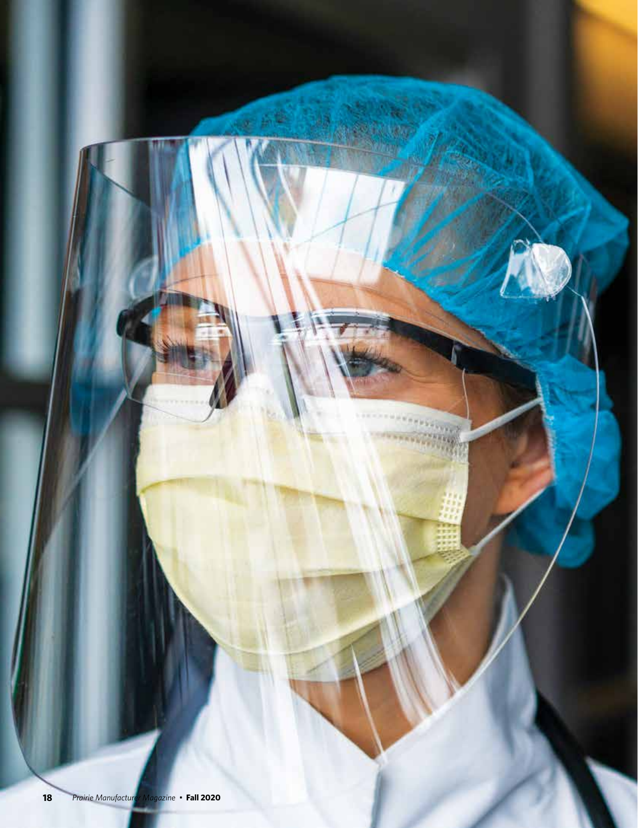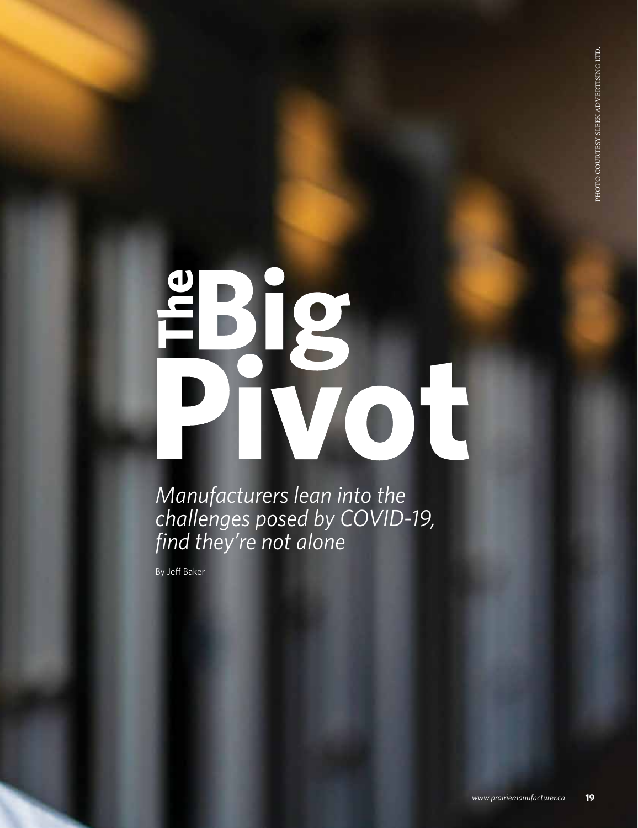# Big<br>Pivot **By Jeff Baker**<br>By Jeff Baker

*Manufacturers lean into the challenges posed by COVID-19, find they're not alone*

By Jeff Baker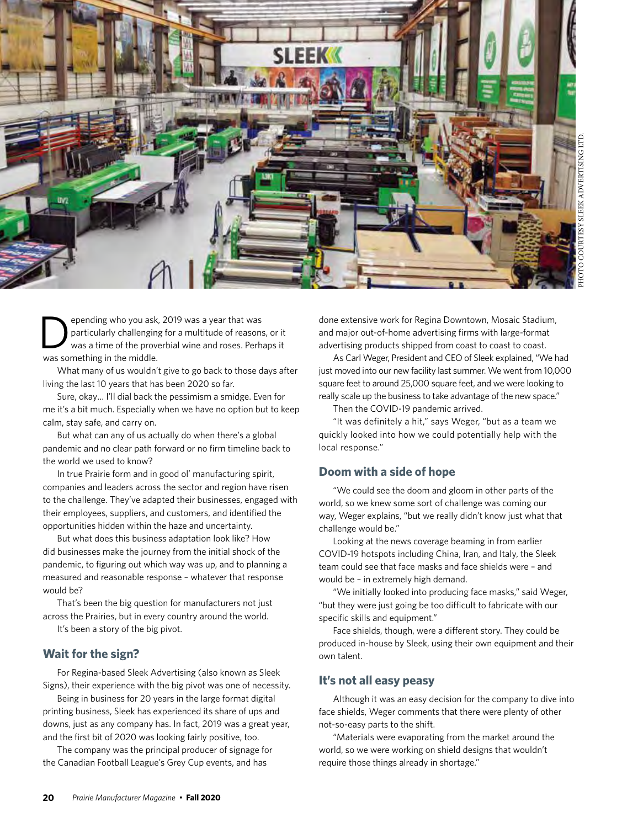

Experiency who you ask, 2019 was a year that was<br>particularly challenging for a multitude of reasons<br>was a time of the proverbial wine and roses. Perhi particularly challenging for a multitude of reasons, or it was a time of the proverbial wine and roses. Perhaps it was something in the middle.

What many of us wouldn't give to go back to those days after living the last 10 years that has been 2020 so far.

Sure, okay… I'll dial back the pessimism a smidge. Even for me it's a bit much. Especially when we have no option but to keep calm, stay safe, and carry on.

But what can any of us actually do when there's a global pandemic and no clear path forward or no firm timeline back to the world we used to know?

In true Prairie form and in good ol' manufacturing spirit, companies and leaders across the sector and region have risen to the challenge. They've adapted their businesses, engaged with their employees, suppliers, and customers, and identified the opportunities hidden within the haze and uncertainty.

But what does this business adaptation look like? How did businesses make the journey from the initial shock of the pandemic, to figuring out which way was up, and to planning a measured and reasonable response – whatever that response would be?

That's been the big question for manufacturers not just across the Prairies, but in every country around the world. It's been a story of the big pivot.

## **Wait for the sign?**

For Regina-based Sleek Advertising (also known as Sleek Signs), their experience with the big pivot was one of necessity.

Being in business for 20 years in the large format digital printing business, Sleek has experienced its share of ups and downs, just as any company has. In fact, 2019 was a great year, and the first bit of 2020 was looking fairly positive, too.

The company was the principal producer of signage for the Canadian Football League's Grey Cup events, and has

done extensive work for Regina Downtown, Mosaic Stadium, and major out-of-home advertising firms with large-format advertising products shipped from coast to coast to coast.

As Carl Weger, President and CEO of Sleek explained, "We had just moved into our new facility last summer. We went from 10,000 square feet to around 25,000 square feet, and we were looking to really scale up the business to take advantage of the new space."

Then the COVID-19 pandemic arrived.

"It was definitely a hit," says Weger, "but as a team we quickly looked into how we could potentially help with the local response."

### **Doom with a side of hope**

"We could see the doom and gloom in other parts of the world, so we knew some sort of challenge was coming our way, Weger explains, "but we really didn't know just what that challenge would be."

Looking at the news coverage beaming in from earlier COVID-19 hotspots including China, Iran, and Italy, the Sleek team could see that face masks and face shields were – and would be – in extremely high demand.

"We initially looked into producing face masks," said Weger, "but they were just going be too difficult to fabricate with our specific skills and equipment."

Face shields, though, were a different story. They could be produced in-house by Sleek, using their own equipment and their own talent.

### **It's not all easy peasy**

Although it was an easy decision for the company to dive into face shields, Weger comments that there were plenty of other not-so-easy parts to the shift.

"Materials were evaporating from the market around the world, so we were working on shield designs that wouldn't require those things already in shortage."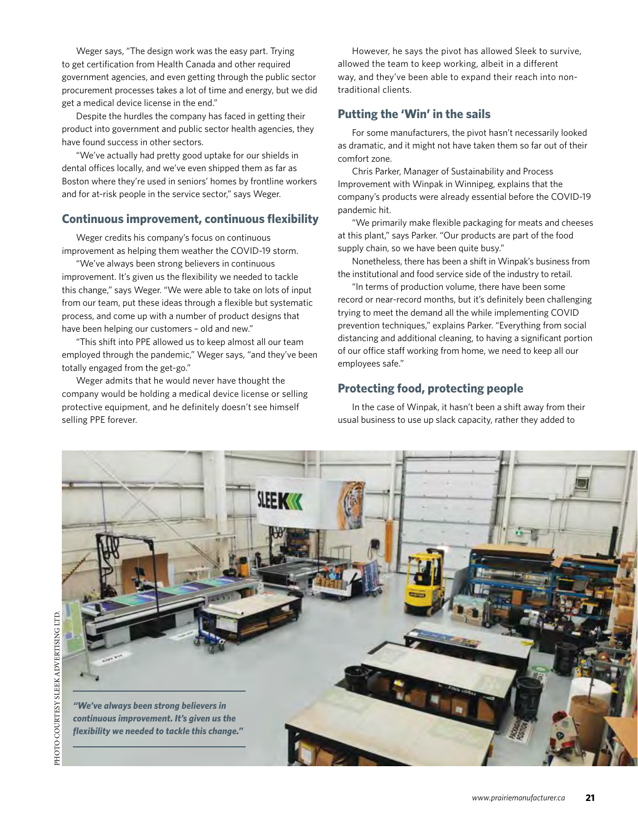Weger says, "The design work was the easy part. Trying to get certification from Health Canada and other required government agencies, and even getting through the public sector procurement processes takes a lot of time and energy, but we did get a medical device license in the end."

Despite the hurdles the company has faced in getting their product into government and public sector health agencies, they have found success in other sectors.

"We've actually had pretty good uptake for our shields in dental offices locally, and we've even shipped them as far as Boston where they're used in seniors' homes by frontline workers and for at-risk people in the service sector," says Weger.

# **Continuous improvement, continuous flexibility**

Weger credits his company's focus on continuous improvement as helping them weather the COVID-19 storm.

"We've always been strong believers in continuous improvement. It's given us the flexibility we needed to tackle this change," says Weger. "We were able to take on lots of input from our team, put these ideas through a flexible but systematic process, and come up with a number of product designs that have been helping our customers – old and new."

"This shift into PPE allowed us to keep almost all our team employed through the pandemic," Weger says, "and they've been totally engaged from the get-go."

Weger admits that he would never have thought the company would be holding a medical device license or selling protective equipment, and he definitely doesn't see himself selling PPE forever.

However, he says the pivot has allowed Sleek to survive, allowed the team to keep working, albeit in a different way, and they've been able to expand their reach into nontraditional clients.

# **Putting the 'Win' in the sails**

For some manufacturers, the pivot hasn't necessarily looked as dramatic, and it might not have taken them so far out of their comfort zone.

Chris Parker, Manager of Sustainability and Process Improvement with Winpak in Winnipeg, explains that the company's products were already essential before the COVID-19 pandemic hit.

"We primarily make flexible packaging for meats and cheeses at this plant," says Parker. "Our products are part of the food supply chain, so we have been quite busy."

Nonetheless, there has been a shift in Winpak's business from the institutional and food service side of the industry to retail.

"In terms of production volume, there have been some record or near-record months, but it's definitely been challenging trying to meet the demand all the while implementing COVID prevention techniques," explains Parker. "Everything from social distancing and additional cleaning, to having a significant portion of our office staff working from home, we need to keep all our employees safe."

# **Protecting food, protecting people**

In the case of Winpak, it hasn't been a shift away from their usual business to use up slack capacity, rather they added to

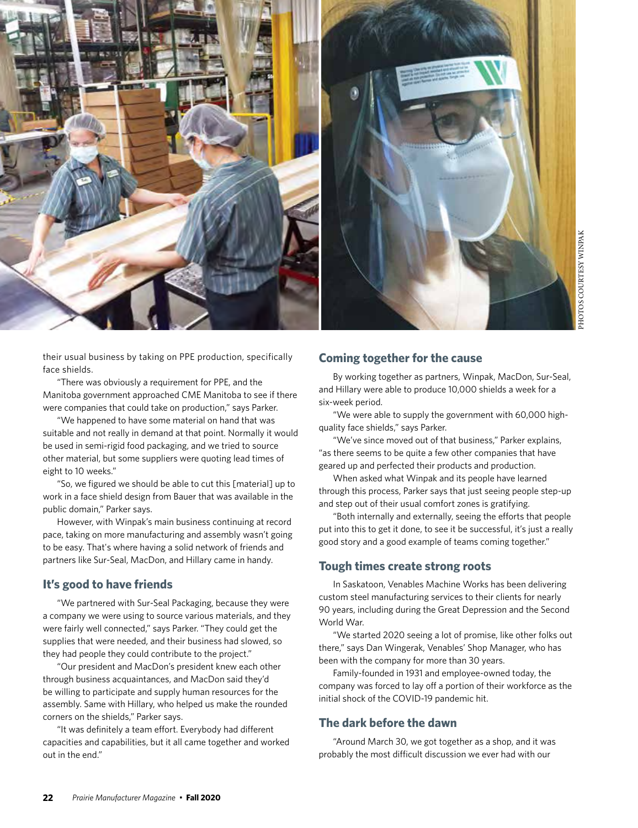

their usual business by taking on PPE production, specifically face shields.

"There was obviously a requirement for PPE, and the Manitoba government approached CME Manitoba to see if there were companies that could take on production," says Parker.

"We happened to have some material on hand that was suitable and not really in demand at that point. Normally it would be used in semi-rigid food packaging, and we tried to source other material, but some suppliers were quoting lead times of eight to 10 weeks."

"So, we figured we should be able to cut this [material] up to work in a face shield design from Bauer that was available in the public domain," Parker says.

However, with Winpak's main business continuing at record pace, taking on more manufacturing and assembly wasn't going to be easy. That's where having a solid network of friends and partners like Sur-Seal, MacDon, and Hillary came in handy.

## **It's good to have friends**

"We partnered with Sur-Seal Packaging, because they were a company we were using to source various materials, and they were fairly well connected," says Parker. "They could get the supplies that were needed, and their business had slowed, so they had people they could contribute to the project."

"Our president and MacDon's president knew each other through business acquaintances, and MacDon said they'd be willing to participate and supply human resources for the assembly. Same with Hillary, who helped us make the rounded corners on the shields," Parker says.

"It was definitely a team effort. Everybody had different capacities and capabilities, but it all came together and worked out in the end."

### **Coming together for the cause**

By working together as partners, Winpak, MacDon, Sur-Seal, and Hillary were able to produce 10,000 shields a week for a six-week period.

"We were able to supply the government with 60,000 highquality face shields," says Parker.

"We've since moved out of that business," Parker explains, "as there seems to be quite a few other companies that have geared up and perfected their products and production.

When asked what Winpak and its people have learned through this process, Parker says that just seeing people step-up and step out of their usual comfort zones is gratifying.

"Both internally and externally, seeing the efforts that people put into this to get it done, to see it be successful, it's just a really good story and a good example of teams coming together."

### **Tough times create strong roots**

In Saskatoon, Venables Machine Works has been delivering custom steel manufacturing services to their clients for nearly 90 years, including during the Great Depression and the Second World War.

"We started 2020 seeing a lot of promise, like other folks out there," says Dan Wingerak, Venables' Shop Manager, who has been with the company for more than 30 years.

Family-founded in 1931 and employee-owned today, the company was forced to lay off a portion of their workforce as the initial shock of the COVID-19 pandemic hit.

### **The dark before the dawn**

"Around March 30, we got together as a shop, and it was probably the most difficult discussion we ever had with our